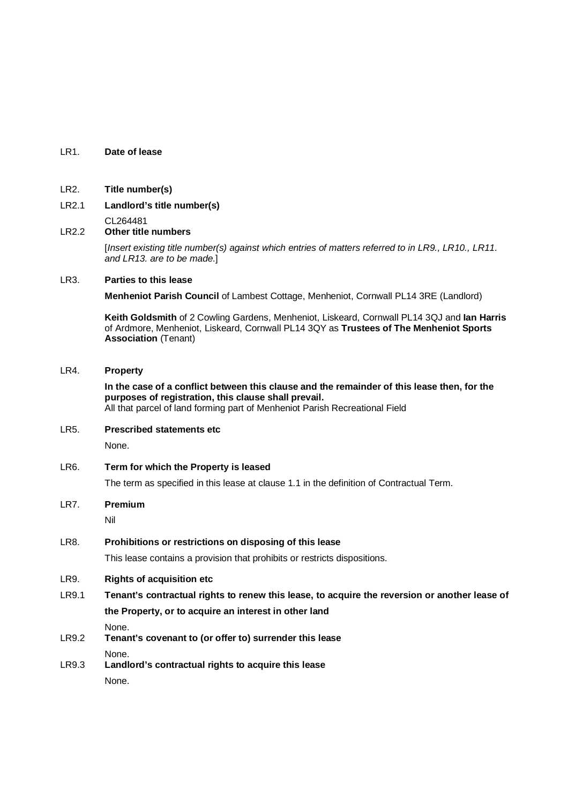### LR1. **Date of lease**

- LR2. **Title number(s)**
- LR2.1 **Landlord's title number(s)**
- $CL264481$ <br>Chertitle **Other title numbers**

[Insert existing title number(s) against which entries of matters referred to in LR9., LR10., LR11. and LR13. are to be made.]

### LR3. **Parties to this lease**

**Menheniot Parish Council** of Lambest Cottage, Menheniot, Cornwall PL14 3RE (Landlord)

**Keith Goldsmith** of 2 Cowling Gardens, Menheniot, Liskeard, Cornwall PL14 3QJ and **Ian Harris** of Ardmore, Menheniot, Liskeard, Cornwall PL14 3QY as **Trustees of The Menheniot Sports Association** (Tenant)

#### LR4. **Property**

# **In the case of a conflict between this clause and the remainder of this lease then, for the purposes of registration, this clause shall prevail.**

All that parcel of land forming part of Menheniot Parish Recreational Field

- LR5. **Prescribed statements etc** None.
- LR6. **Term for which the Property is leased** The term as specified in this lease at clause 1.1 in the definition of Contractual Term.
- LR7. **Premium**

Nil

LR8. **Prohibitions or restrictions on disposing of this lease**

This lease contains a provision that prohibits or restricts dispositions.

## LR9. **Rights of acquisition etc**

LR9.1 **Tenant's contractual rights to renew this lease, to acquire the reversion or another lease of the Property, or to acquire an interest in other land**

None.

LR9.2 **Tenant's covenant to (or offer to) surrender this lease**

None.

LR9.3 **Landlord's contractual rights to acquire this lease** None.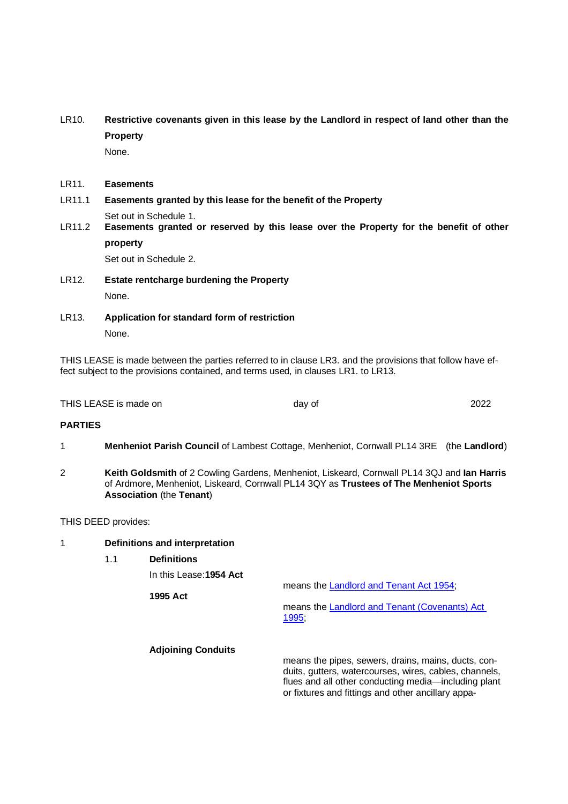LR10. **Restrictive covenants given in this lease by the Landlord in respect of land other than the Property**

None.

- LR11. **Easements**
- LR11.1 **Easements granted by this lease for the benefit of the Property**

Set out in Schedule 1.<br>
IR11 2 **Easements granted** Easements granted or reserved by this lease over the Property for the benefit of other **property**

Set out in Schedule 2.

- LR12. **Estate rentcharge burdening the Property** None.
- LR13. **Application for standard form of restriction** None.

THIS LEASE is made between the parties referred to in clause LR3. and the provisions that follow have effect subject to the provisions contained, and terms used, in clauses LR1. to LR13.

THIS LEASE is made on the contract of the contract of the contract of 2022 and the contract of the contract of 2022

### **PARTIES**

- 1 **Menheniot Parish Council** of Lambest Cottage, Menheniot, Cornwall PL14 3RE (the **Landlord**)
- 2 **Keith Goldsmith** of 2 Cowling Gardens, Menheniot, Liskeard, Cornwall PL14 3QJ and **Ian Harris** of Ardmore, Menheniot, Liskeard, Cornwall PL14 3QY as **Trustees of The Menheniot Sports Association** (the **Tenant**)

THIS DEED provides:

#### 1 **Definitions and interpretation**

1.1 **Definitions** In this Lease:**1954 Act** means the Landlord and Tenant Act 1954; **1995 Act** means the Landlord and Tenant (Covenants) Act 1995; **Adjoining Conduits** means the pipes, sewers, drains, mains, ducts, con-

duits, gutters, watercourses, wires, cables, channels, flues and all other conducting media—including plant or fixtures and fittings and other ancillary appa-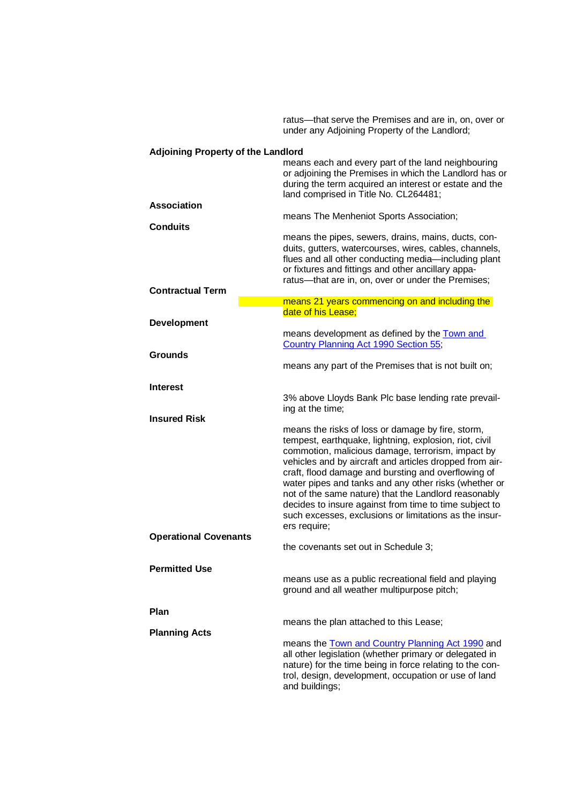|                                           | ratus—that serve the Premises and are in, on, over or<br>under any Adjoining Property of the Landlord;                                                                                                                                                                                                                                                                                                                                                                                                                                  |
|-------------------------------------------|-----------------------------------------------------------------------------------------------------------------------------------------------------------------------------------------------------------------------------------------------------------------------------------------------------------------------------------------------------------------------------------------------------------------------------------------------------------------------------------------------------------------------------------------|
| <b>Adjoining Property of the Landlord</b> | means each and every part of the land neighbouring<br>or adjoining the Premises in which the Landlord has or<br>during the term acquired an interest or estate and the<br>land comprised in Title No. CL264481;                                                                                                                                                                                                                                                                                                                         |
| Association                               | means The Menheniot Sports Association;                                                                                                                                                                                                                                                                                                                                                                                                                                                                                                 |
| <b>Conduits</b>                           | means the pipes, sewers, drains, mains, ducts, con-<br>duits, gutters, watercourses, wires, cables, channels,<br>flues and all other conducting media-including plant<br>or fixtures and fittings and other ancillary appa-<br>ratus-that are in, on, over or under the Premises;                                                                                                                                                                                                                                                       |
| <b>Contractual Term</b>                   |                                                                                                                                                                                                                                                                                                                                                                                                                                                                                                                                         |
| <b>Development</b>                        | means 21 years commencing on and including the<br>date of his Lease;                                                                                                                                                                                                                                                                                                                                                                                                                                                                    |
| <b>Grounds</b>                            | means development as defined by the Town and<br>Country Planning Act 1990 Section 55;                                                                                                                                                                                                                                                                                                                                                                                                                                                   |
|                                           | means any part of the Premises that is not built on;                                                                                                                                                                                                                                                                                                                                                                                                                                                                                    |
| Interest<br><b>Insured Risk</b>           | 3% above Lloyds Bank Plc base lending rate prevail-<br>ing at the time;                                                                                                                                                                                                                                                                                                                                                                                                                                                                 |
|                                           | means the risks of loss or damage by fire, storm,<br>tempest, earthquake, lightning, explosion, riot, civil<br>commotion, malicious damage, terrorism, impact by<br>vehicles and by aircraft and articles dropped from air-<br>craft, flood damage and bursting and overflowing of<br>water pipes and tanks and any other risks (whether or<br>not of the same nature) that the Landlord reasonably<br>decides to insure against from time to time subject to<br>such excesses, exclusions or limitations as the insur-<br>ers require; |
| <b>Operational Covenants</b>              | the covenants set out in Schedule 3;                                                                                                                                                                                                                                                                                                                                                                                                                                                                                                    |
| <b>Permitted Use</b>                      | means use as a public recreational field and playing<br>ground and all weather multipurpose pitch;                                                                                                                                                                                                                                                                                                                                                                                                                                      |
| Plan                                      | means the plan attached to this Lease;                                                                                                                                                                                                                                                                                                                                                                                                                                                                                                  |
| <b>Planning Acts</b>                      | means the <b>Town and Country Planning Act 1990</b> and<br>all other legislation (whether primary or delegated in<br>nature) for the time being in force relating to the con-<br>trol, design, development, occupation or use of land<br>and buildings;                                                                                                                                                                                                                                                                                 |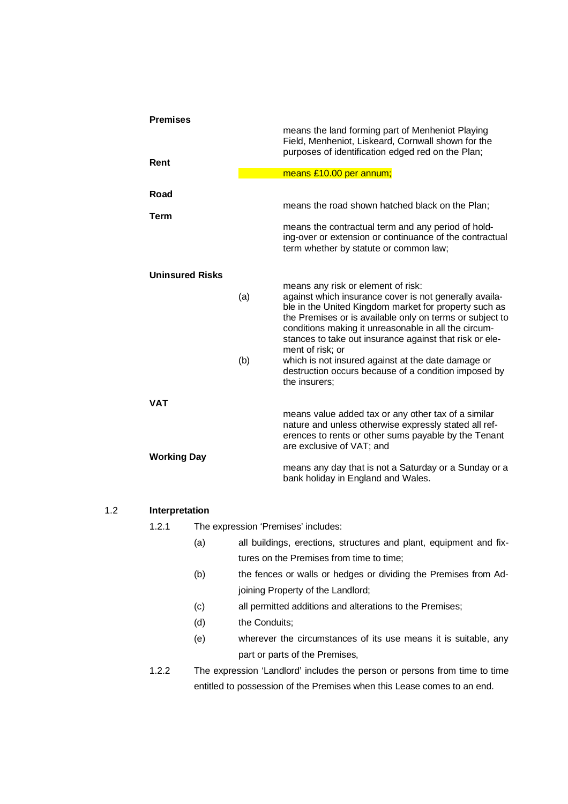| <b>Premises</b>        |     | means the land forming part of Menheniot Playing<br>Field, Menheniot, Liskeard, Cornwall shown for the                                                                                                                                                                                                                                                   |  |  |  |
|------------------------|-----|----------------------------------------------------------------------------------------------------------------------------------------------------------------------------------------------------------------------------------------------------------------------------------------------------------------------------------------------------------|--|--|--|
| Rent                   |     | purposes of identification edged red on the Plan;                                                                                                                                                                                                                                                                                                        |  |  |  |
|                        |     | means £10.00 per annum;                                                                                                                                                                                                                                                                                                                                  |  |  |  |
| Road                   |     |                                                                                                                                                                                                                                                                                                                                                          |  |  |  |
| <b>Term</b>            |     | means the road shown hatched black on the Plan;                                                                                                                                                                                                                                                                                                          |  |  |  |
|                        |     | means the contractual term and any period of hold-<br>ing-over or extension or continuance of the contractual<br>term whether by statute or common law;                                                                                                                                                                                                  |  |  |  |
| <b>Uninsured Risks</b> |     |                                                                                                                                                                                                                                                                                                                                                          |  |  |  |
|                        | (a) | means any risk or element of risk:<br>against which insurance cover is not generally availa-<br>ble in the United Kingdom market for property such as<br>the Premises or is available only on terms or subject to<br>conditions making it unreasonable in all the circum-<br>stances to take out insurance against that risk or ele-<br>ment of risk; or |  |  |  |
|                        | (b) | which is not insured against at the date damage or<br>destruction occurs because of a condition imposed by<br>the insurers;                                                                                                                                                                                                                              |  |  |  |
| <b>VAT</b>             |     |                                                                                                                                                                                                                                                                                                                                                          |  |  |  |
| <b>Working Day</b>     |     | means value added tax or any other tax of a similar<br>nature and unless otherwise expressly stated all ref-<br>erences to rents or other sums payable by the Tenant<br>are exclusive of VAT; and                                                                                                                                                        |  |  |  |
|                        |     | means any day that is not a Saturday or a Sunday or a<br>bank holiday in England and Wales.                                                                                                                                                                                                                                                              |  |  |  |

#### 1.2 **Interpretation**

1.2.1 The expression 'Premises' includes:

- (a) all buildings, erections, structures and plant, equipment and fixtures on the Premises from time to time;
- (b) the fences or walls or hedges or dividing the Premises from Adjoining Property of the Landlord;
- (c) all permitted additions and alterations to the Premises;
- (d) the Conduits;
- (e) wherever the circumstances of its use means it is suitable, any part or parts of the Premises,
- 1.2.2 The expression 'Landlord' includes the person or persons from time to time entitled to possession of the Premises when this Lease comes to an end.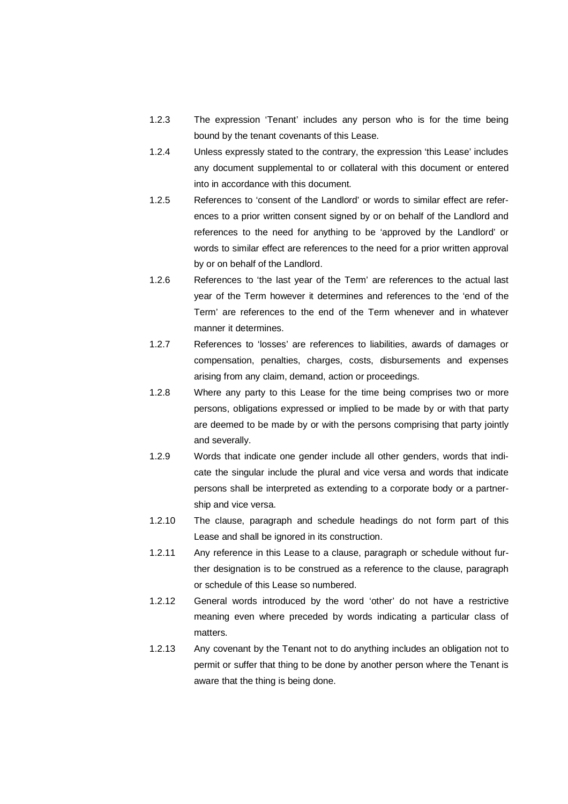- 1.2.3 The expression 'Tenant' includes any person who is for the time being bound by the tenant covenants of this Lease.
- 1.2.4 Unless expressly stated to the contrary, the expression 'this Lease' includes any document supplemental to or collateral with this document or entered into in accordance with this document.
- 1.2.5 References to 'consent of the Landlord' or words to similar effect are references to a prior written consent signed by or on behalf of the Landlord and references to the need for anything to be 'approved by the Landlord' or words to similar effect are references to the need for a prior written approval by or on behalf of the Landlord.
- 1.2.6 References to 'the last year of the Term' are references to the actual last year of the Term however it determines and references to the 'end of the Term' are references to the end of the Term whenever and in whatever manner it determines.
- 1.2.7 References to 'losses' are references to liabilities, awards of damages or compensation, penalties, charges, costs, disbursements and expenses arising from any claim, demand, action or proceedings.
- 1.2.8 Where any party to this Lease for the time being comprises two or more persons, obligations expressed or implied to be made by or with that party are deemed to be made by or with the persons comprising that party jointly and severally.
- 1.2.9 Words that indicate one gender include all other genders, words that indicate the singular include the plural and vice versa and words that indicate persons shall be interpreted as extending to a corporate body or a partnership and vice versa.
- 1.2.10 The clause, paragraph and schedule headings do not form part of this Lease and shall be ignored in its construction.
- 1.2.11 Any reference in this Lease to a clause, paragraph or schedule without further designation is to be construed as a reference to the clause, paragraph or schedule of this Lease so numbered.
- 1.2.12 General words introduced by the word 'other' do not have a restrictive meaning even where preceded by words indicating a particular class of matters.
- 1.2.13 Any covenant by the Tenant not to do anything includes an obligation not to permit or suffer that thing to be done by another person where the Tenant is aware that the thing is being done.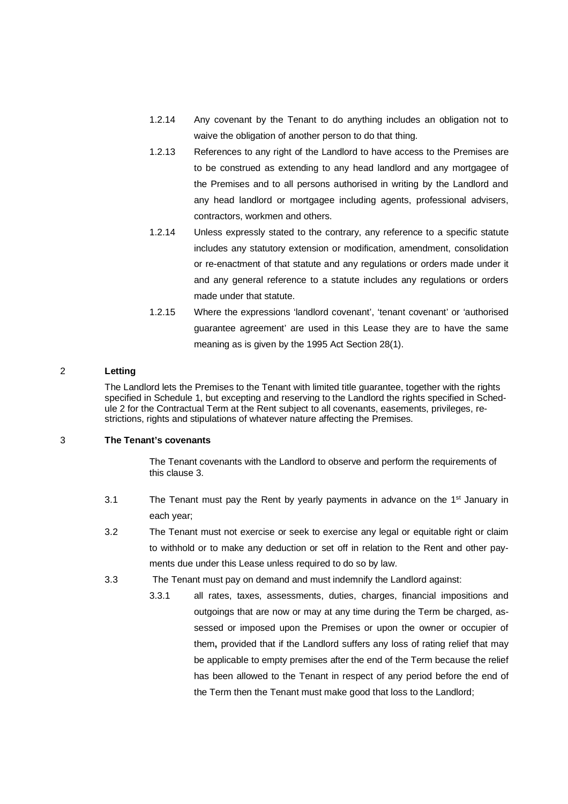- 1.2.14 Any covenant by the Tenant to do anything includes an obligation not to waive the obligation of another person to do that thing.
- 1.2.13 References to any right of the Landlord to have access to the Premises are to be construed as extending to any head landlord and any mortgagee of the Premises and to all persons authorised in writing by the Landlord and any head landlord or mortgagee including agents, professional advisers, contractors, workmen and others.
- 1.2.14 Unless expressly stated to the contrary, any reference to a specific statute includes any statutory extension or modification, amendment, consolidation or re-enactment of that statute and any regulations or orders made under it and any general reference to a statute includes any regulations or orders made under that statute.
- 1.2.15 Where the expressions 'landlord covenant', 'tenant covenant' or 'authorised guarantee agreement' are used in this Lease they are to have the same meaning as is given by the 1995 Act Section 28(1).

### 2 **Letting**

 The Landlord lets the Premises to the Tenant with limited title guarantee, together with the rights specified in Schedule 1, but excepting and reserving to the Landlord the rights specified in Schedule 2 for the Contractual Term at the Rent subject to all covenants, easements, privileges, restrictions, rights and stipulations of whatever nature affecting the Premises.

#### 3 **The Tenant's covenants**

 The Tenant covenants with the Landlord to observe and perform the requirements of this clause 3.

- 3.1 The Tenant must pay the Rent by yearly payments in advance on the  $1<sup>st</sup>$  January in each year;
- 3.2 The Tenant must not exercise or seek to exercise any legal or equitable right or claim to withhold or to make any deduction or set off in relation to the Rent and other payments due under this Lease unless required to do so by law.
- 3.3 The Tenant must pay on demand and must indemnify the Landlord against:
	- 3.3.1 all rates, taxes, assessments, duties, charges, financial impositions and outgoings that are now or may at any time during the Term be charged, assessed or imposed upon the Premises or upon the owner or occupier of them**,** provided that if the Landlord suffers any loss of rating relief that may be applicable to empty premises after the end of the Term because the relief has been allowed to the Tenant in respect of any period before the end of the Term then the Tenant must make good that loss to the Landlord;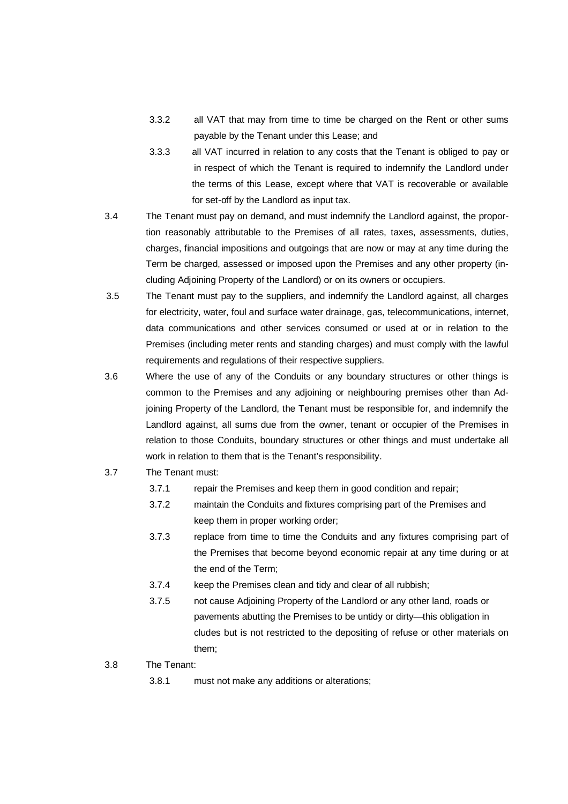- 3.3.2 all VAT that may from time to time be charged on the Rent or other sums payable by the Tenant under this Lease; and
- 3.3.3 all VAT incurred in relation to any costs that the Tenant is obliged to pay or in respect of which the Tenant is required to indemnify the Landlord under the terms of this Lease, except where that VAT is recoverable or available for set-off by the Landlord as input tax.
- 3.4 The Tenant must pay on demand, and must indemnify the Landlord against, the proportion reasonably attributable to the Premises of all rates, taxes, assessments, duties, charges, financial impositions and outgoings that are now or may at any time during the Term be charged, assessed or imposed upon the Premises and any other property (including Adjoining Property of the Landlord) or on its owners or occupiers.
- 3.5 The Tenant must pay to the suppliers, and indemnify the Landlord against, all charges for electricity, water, foul and surface water drainage, gas, telecommunications, internet, data communications and other services consumed or used at or in relation to the Premises (including meter rents and standing charges) and must comply with the lawful requirements and regulations of their respective suppliers.
- 3.6 Where the use of any of the Conduits or any boundary structures or other things is common to the Premises and any adjoining or neighbouring premises other than Adjoining Property of the Landlord, the Tenant must be responsible for, and indemnify the Landlord against, all sums due from the owner, tenant or occupier of the Premises in relation to those Conduits, boundary structures or other things and must undertake all work in relation to them that is the Tenant's responsibility.
- 3.7 The Tenant must:
	- 3.7.1 repair the Premises and keep them in good condition and repair;
	- 3.7.2 maintain the Conduits and fixtures comprising part of the Premises and keep them in proper working order;
	- 3.7.3 replace from time to time the Conduits and any fixtures comprising part of the Premises that become beyond economic repair at any time during or at the end of the Term;
	- 3.7.4 keep the Premises clean and tidy and clear of all rubbish;
	- 3.7.5 not cause Adjoining Property of the Landlord or any other land, roads or pavements abutting the Premises to be untidy or dirty—this obligation in cludes but is not restricted to the depositing of refuse or other materials on them;
- 3.8 The Tenant:
	- 3.8.1 must not make any additions or alterations;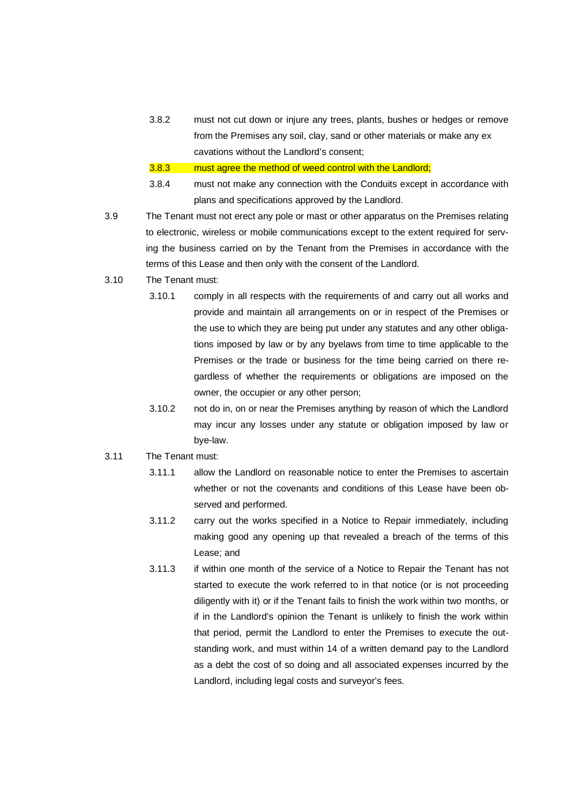3.8.2 must not cut down or injure any trees, plants, bushes or hedges or remove from the Premises any soil, clay, sand or other materials or make any ex cavations without the Landlord's consent;

3.8.3 must agree the method of weed control with the Landlord;

- 3.8.4 must not make any connection with the Conduits except in accordance with plans and specifications approved by the Landlord.
- 3.9 The Tenant must not erect any pole or mast or other apparatus on the Premises relating to electronic, wireless or mobile communications except to the extent required for serving the business carried on by the Tenant from the Premises in accordance with the terms of this Lease and then only with the consent of the Landlord.
- 3.10 The Tenant must:
	- 3.10.1 comply in all respects with the requirements of and carry out all works and provide and maintain all arrangements on or in respect of the Premises or the use to which they are being put under any statutes and any other obligations imposed by law or by any byelaws from time to time applicable to the Premises or the trade or business for the time being carried on there regardless of whether the requirements or obligations are imposed on the owner, the occupier or any other person;
	- 3.10.2 not do in, on or near the Premises anything by reason of which the Landlord may incur any losses under any statute or obligation imposed by law or bye-law.
- 3.11 The Tenant must:
	- 3.11.1 allow the Landlord on reasonable notice to enter the Premises to ascertain whether or not the covenants and conditions of this Lease have been observed and performed.
	- 3.11.2 carry out the works specified in a Notice to Repair immediately, including making good any opening up that revealed a breach of the terms of this Lease; and
	- 3.11.3 if within one month of the service of a Notice to Repair the Tenant has not started to execute the work referred to in that notice (or is not proceeding diligently with it) or if the Tenant fails to finish the work within two months, or if in the Landlord's opinion the Tenant is unlikely to finish the work within that period, permit the Landlord to enter the Premises to execute the outstanding work, and must within 14 of a written demand pay to the Landlord as a debt the cost of so doing and all associated expenses incurred by the Landlord, including legal costs and surveyor's fees.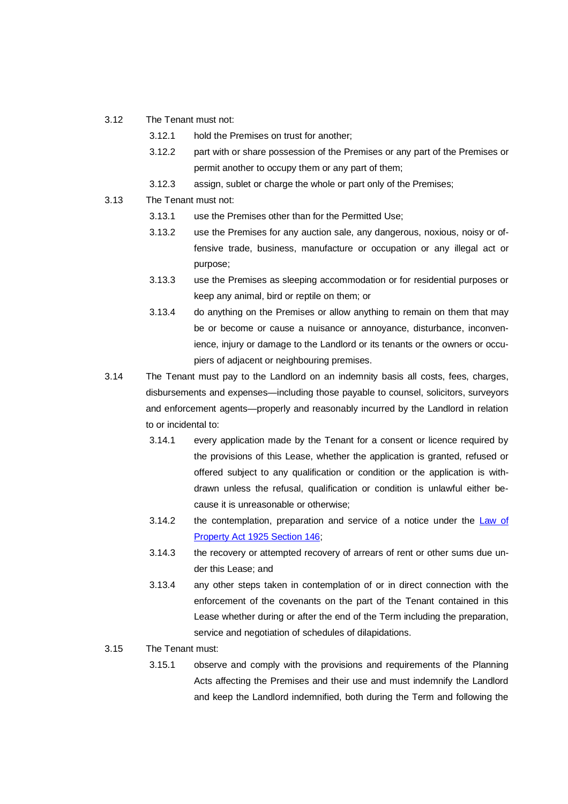- 3.12 The Tenant must not:
	- 3.12.1 hold the Premises on trust for another;
	- 3.12.2 part with or share possession of the Premises or any part of the Premises or permit another to occupy them or any part of them;
	- 3.12.3 assign, sublet or charge the whole or part only of the Premises;
- 3.13 The Tenant must not:
	- 3.13.1 use the Premises other than for the Permitted Use;
	- 3.13.2 use the Premises for any auction sale, any dangerous, noxious, noisy or offensive trade, business, manufacture or occupation or any illegal act or purpose;
	- 3.13.3 use the Premises as sleeping accommodation or for residential purposes or keep any animal, bird or reptile on them; or
	- 3.13.4 do anything on the Premises or allow anything to remain on them that may be or become or cause a nuisance or annoyance, disturbance, inconvenience, injury or damage to the Landlord or its tenants or the owners or occupiers of adjacent or neighbouring premises.
- 3.14 The Tenant must pay to the Landlord on an indemnity basis all costs, fees, charges, disbursements and expenses—including those payable to counsel, solicitors, surveyors and enforcement agents—properly and reasonably incurred by the Landlord in relation to or incidental to:
	- 3.14.1 every application made by the Tenant for a consent or licence required by the provisions of this Lease, whether the application is granted, refused or offered subject to any qualification or condition or the application is withdrawn unless the refusal, qualification or condition is unlawful either because it is unreasonable or otherwise;
	- 3.14.2 the contemplation, preparation and service of a notice under the Law of Property Act 1925 Section 146;
	- 3.14.3 the recovery or attempted recovery of arrears of rent or other sums due under this Lease; and
	- 3.13.4 any other steps taken in contemplation of or in direct connection with the enforcement of the covenants on the part of the Tenant contained in this Lease whether during or after the end of the Term including the preparation, service and negotiation of schedules of dilapidations.
- 3.15 The Tenant must:
	- 3.15.1 observe and comply with the provisions and requirements of the Planning Acts affecting the Premises and their use and must indemnify the Landlord and keep the Landlord indemnified, both during the Term and following the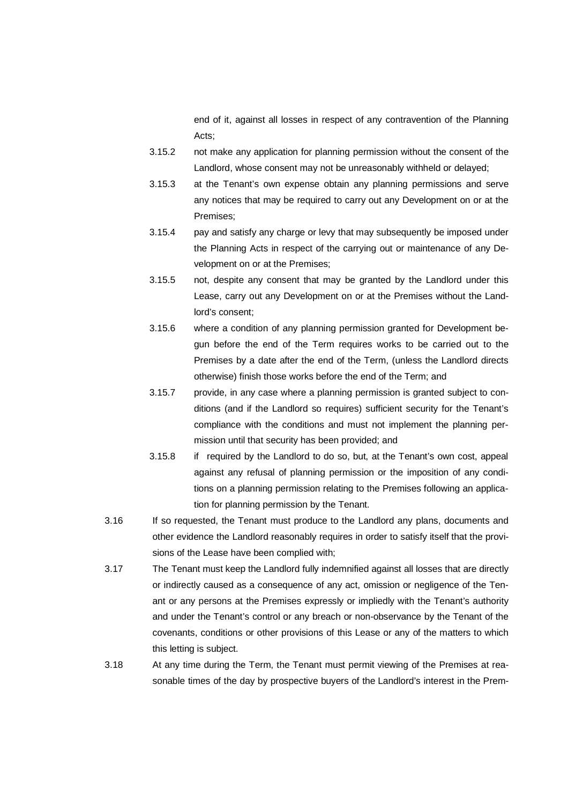end of it, against all losses in respect of any contravention of the Planning Acts;

- 3.15.2 not make any application for planning permission without the consent of the Landlord, whose consent may not be unreasonably withheld or delayed;
- 3.15.3 at the Tenant's own expense obtain any planning permissions and serve any notices that may be required to carry out any Development on or at the Premises;
- 3.15.4 pay and satisfy any charge or levy that may subsequently be imposed under the Planning Acts in respect of the carrying out or maintenance of any Development on or at the Premises;
- 3.15.5 not, despite any consent that may be granted by the Landlord under this Lease, carry out any Development on or at the Premises without the Landlord's consent;
- 3.15.6 where a condition of any planning permission granted for Development begun before the end of the Term requires works to be carried out to the Premises by a date after the end of the Term, (unless the Landlord directs otherwise) finish those works before the end of the Term; and
- 3.15.7 provide, in any case where a planning permission is granted subject to conditions (and if the Landlord so requires) sufficient security for the Tenant's compliance with the conditions and must not implement the planning permission until that security has been provided; and
- 3.15.8 if required by the Landlord to do so, but, at the Tenant's own cost, appeal against any refusal of planning permission or the imposition of any conditions on a planning permission relating to the Premises following an application for planning permission by the Tenant.
- 3.16 If so requested, the Tenant must produce to the Landlord any plans, documents and other evidence the Landlord reasonably requires in order to satisfy itself that the provisions of the Lease have been complied with;
- 3.17 The Tenant must keep the Landlord fully indemnified against all losses that are directly or indirectly caused as a consequence of any act, omission or negligence of the Tenant or any persons at the Premises expressly or impliedly with the Tenant's authority and under the Tenant's control or any breach or non-observance by the Tenant of the covenants, conditions or other provisions of this Lease or any of the matters to which this letting is subject.
- 3.18 At any time during the Term, the Tenant must permit viewing of the Premises at reasonable times of the day by prospective buyers of the Landlord's interest in the Prem-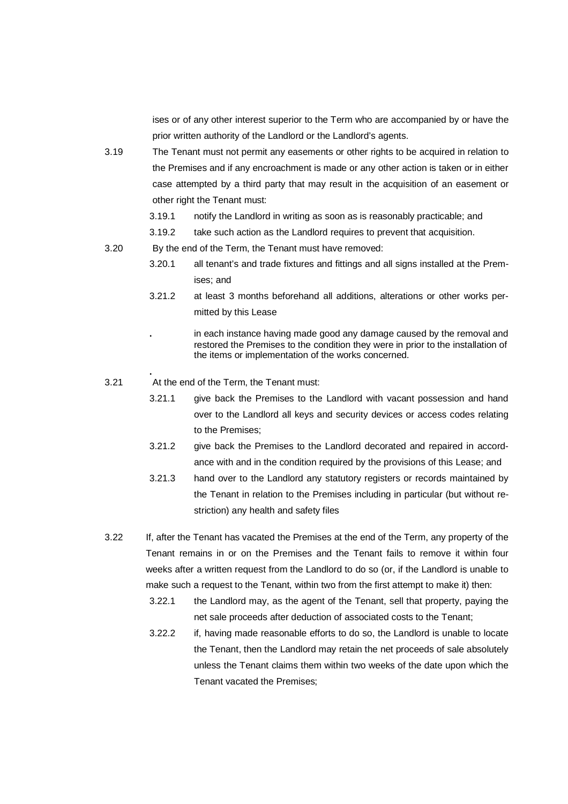ises or of any other interest superior to the Term who are accompanied by or have the prior written authority of the Landlord or the Landlord's agents.

- 3.19 The Tenant must not permit any easements or other rights to be acquired in relation to the Premises and if any encroachment is made or any other action is taken or in either case attempted by a third party that may result in the acquisition of an easement or other right the Tenant must:
	- 3.19.1 notify the Landlord in writing as soon as is reasonably practicable; and
	- 3.19.2 take such action as the Landlord requires to prevent that acquisition.
- 3.20 By the end of the Term, the Tenant must have removed:
	- 3.20.1 all tenant's and trade fixtures and fittings and all signs installed at the Premises; and
	- 3.21.2 at least 3 months beforehand all additions, alterations or other works permitted by this Lease
		- **.** in each instance having made good any damage caused by the removal and restored the Premises to the condition they were in prior to the installation of the items or implementation of the works concerned.
- 3.21 At the end of the Term, the Tenant must:

**.** 

- 3.21.1 give back the Premises to the Landlord with vacant possession and hand over to the Landlord all keys and security devices or access codes relating to the Premises;
- 3.21.2 give back the Premises to the Landlord decorated and repaired in accordance with and in the condition required by the provisions of this Lease; and
- 3.21.3 hand over to the Landlord any statutory registers or records maintained by the Tenant in relation to the Premises including in particular (but without restriction) any health and safety files
- 3.22 If, after the Tenant has vacated the Premises at the end of the Term, any property of the Tenant remains in or on the Premises and the Tenant fails to remove it within four weeks after a written request from the Landlord to do so (or, if the Landlord is unable to make such a request to the Tenant, within two from the first attempt to make it) then:
	- 3.22.1 the Landlord may, as the agent of the Tenant, sell that property, paying the net sale proceeds after deduction of associated costs to the Tenant;
	- 3.22.2 if, having made reasonable efforts to do so, the Landlord is unable to locate the Tenant, then the Landlord may retain the net proceeds of sale absolutely unless the Tenant claims them within two weeks of the date upon which the Tenant vacated the Premises;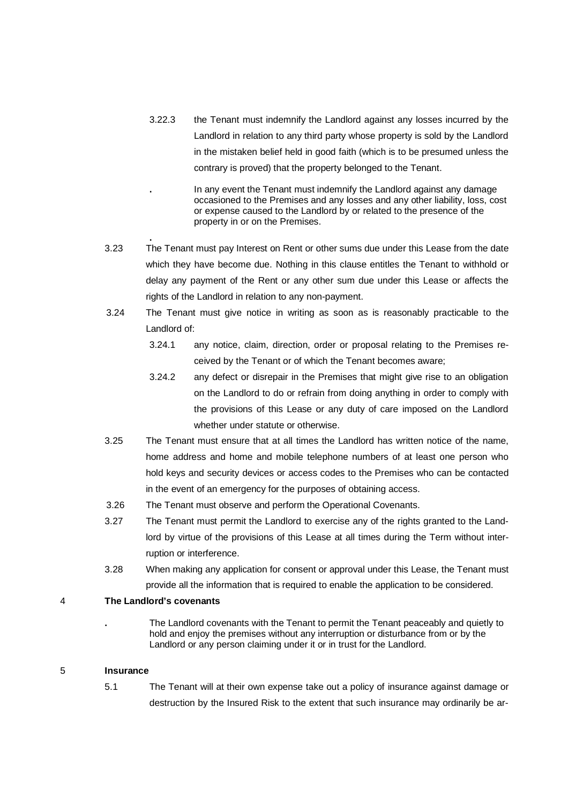- 3.22.3 the Tenant must indemnify the Landlord against any losses incurred by the Landlord in relation to any third party whose property is sold by the Landlord in the mistaken belief held in good faith (which is to be presumed unless the contrary is proved) that the property belonged to the Tenant.
	- **.** In any event the Tenant must indemnify the Landlord against any damage occasioned to the Premises and any losses and any other liability, loss, cost or expense caused to the Landlord by or related to the presence of the property in or on the Premises.
- **.**  3.23 The Tenant must pay Interest on Rent or other sums due under this Lease from the date which they have become due. Nothing in this clause entitles the Tenant to withhold or delay any payment of the Rent or any other sum due under this Lease or affects the rights of the Landlord in relation to any non-payment.
- 3.24 The Tenant must give notice in writing as soon as is reasonably practicable to the Landlord of:
	- 3.24.1 any notice, claim, direction, order or proposal relating to the Premises received by the Tenant or of which the Tenant becomes aware;
	- 3.24.2 any defect or disrepair in the Premises that might give rise to an obligation on the Landlord to do or refrain from doing anything in order to comply with the provisions of this Lease or any duty of care imposed on the Landlord whether under statute or otherwise.
- 3.25 The Tenant must ensure that at all times the Landlord has written notice of the name, home address and home and mobile telephone numbers of at least one person who hold keys and security devices or access codes to the Premises who can be contacted in the event of an emergency for the purposes of obtaining access.
- 3.26 The Tenant must observe and perform the Operational Covenants.
- 3.27 The Tenant must permit the Landlord to exercise any of the rights granted to the Landlord by virtue of the provisions of this Lease at all times during the Term without interruption or interference.
- 3.28 When making any application for consent or approval under this Lease, the Tenant must provide all the information that is required to enable the application to be considered.

### 4 **The Landlord's covenants**

**.** The Landlord covenants with the Tenant to permit the Tenant peaceably and quietly to hold and enjoy the premises without any interruption or disturbance from or by the Landlord or any person claiming under it or in trust for the Landlord.

### 5 **Insurance**

5.1 The Tenant will at their own expense take out a policy of insurance against damage or destruction by the Insured Risk to the extent that such insurance may ordinarily be ar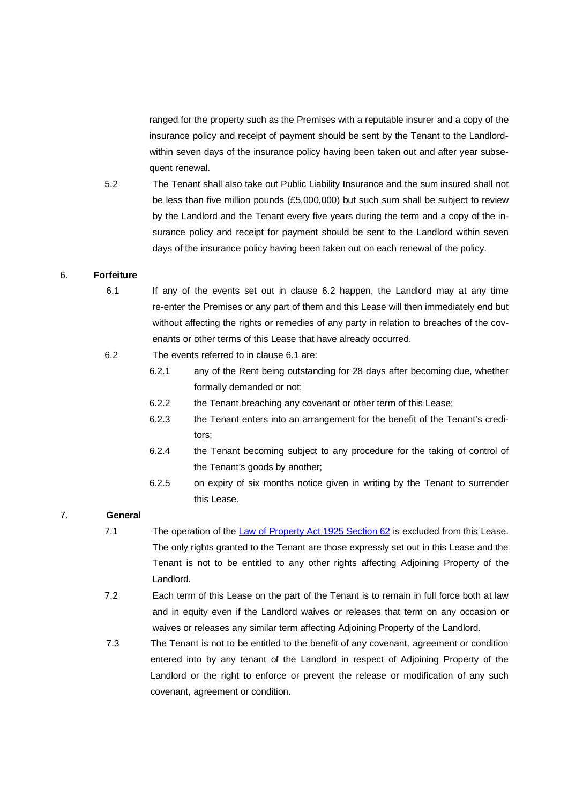ranged for the property such as the Premises with a reputable insurer and a copy of the insurance policy and receipt of payment should be sent by the Tenant to the Landlordwithin seven days of the insurance policy having been taken out and after year subsequent renewal.

5.2 The Tenant shall also take out Public Liability Insurance and the sum insured shall not be less than five million pounds (£5,000,000) but such sum shall be subject to review by the Landlord and the Tenant every five years during the term and a copy of the insurance policy and receipt for payment should be sent to the Landlord within seven days of the insurance policy having been taken out on each renewal of the policy.

### 6. **Forfeiture**

- 6.1 If any of the events set out in clause 6.2 happen, the Landlord may at any time re-enter the Premises or any part of them and this Lease will then immediately end but without affecting the rights or remedies of any party in relation to breaches of the covenants or other terms of this Lease that have already occurred.
- 6.2 The events referred to in clause 6.1 are:
	- 6.2.1 any of the Rent being outstanding for 28 days after becoming due, whether formally demanded or not;
	- 6.2.2 the Tenant breaching any covenant or other term of this Lease;
	- 6.2.3 the Tenant enters into an arrangement for the benefit of the Tenant's creditors;
	- 6.2.4 the Tenant becoming subject to any procedure for the taking of control of the Tenant's goods by another;
	- 6.2.5 on expiry of six months notice given in writing by the Tenant to surrender this Lease.

### 7. **General**

- 7.1 The operation of the Law of Property Act 1925 Section 62 is excluded from this Lease. The only rights granted to the Tenant are those expressly set out in this Lease and the Tenant is not to be entitled to any other rights affecting Adjoining Property of the Landlord.
- 7.2 Each term of this Lease on the part of the Tenant is to remain in full force both at law and in equity even if the Landlord waives or releases that term on any occasion or waives or releases any similar term affecting Adjoining Property of the Landlord.
- 7.3 The Tenant is not to be entitled to the benefit of any covenant, agreement or condition entered into by any tenant of the Landlord in respect of Adjoining Property of the Landlord or the right to enforce or prevent the release or modification of any such covenant, agreement or condition.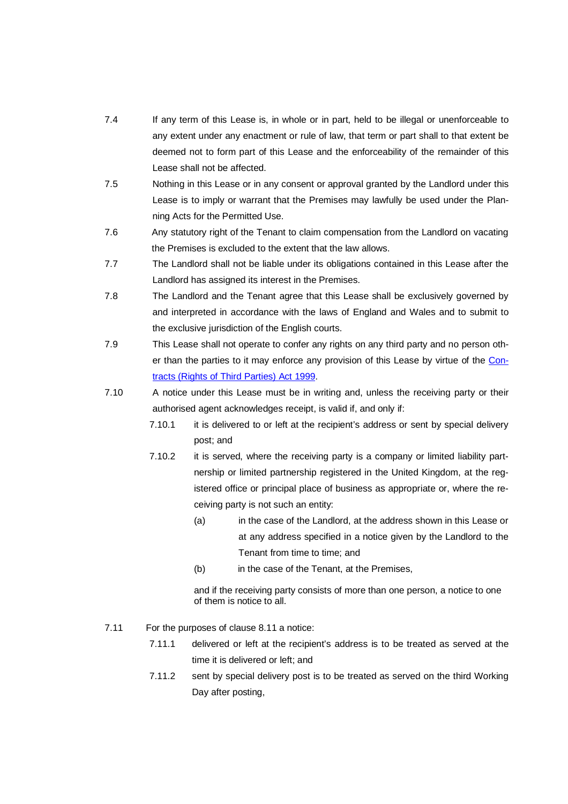- 7.4 If any term of this Lease is, in whole or in part, held to be illegal or unenforceable to any extent under any enactment or rule of law, that term or part shall to that extent be deemed not to form part of this Lease and the enforceability of the remainder of this Lease shall not be affected.
- 7.5 Nothing in this Lease or in any consent or approval granted by the Landlord under this Lease is to imply or warrant that the Premises may lawfully be used under the Planning Acts for the Permitted Use.
- 7.6 Any statutory right of the Tenant to claim compensation from the Landlord on vacating the Premises is excluded to the extent that the law allows.
- 7.7 The Landlord shall not be liable under its obligations contained in this Lease after the Landlord has assigned its interest in the Premises.
- 7.8 The Landlord and the Tenant agree that this Lease shall be exclusively governed by and interpreted in accordance with the laws of England and Wales and to submit to the exclusive jurisdiction of the English courts.
- 7.9 This Lease shall not operate to confer any rights on any third party and no person other than the parties to it may enforce any provision of this Lease by virtue of the Contracts (Rights of Third Parties) Act 1999.
- 7.10 A notice under this Lease must be in writing and, unless the receiving party or their authorised agent acknowledges receipt, is valid if, and only if:
	- 7.10.1 it is delivered to or left at the recipient's address or sent by special delivery post; and
	- 7.10.2 it is served, where the receiving party is a company or limited liability partnership or limited partnership registered in the United Kingdom, at the registered office or principal place of business as appropriate or, where the receiving party is not such an entity:
		- (a) in the case of the Landlord, at the address shown in this Lease or at any address specified in a notice given by the Landlord to the Tenant from time to time; and
		- (b) in the case of the Tenant, at the Premises,

 and if the receiving party consists of more than one person, a notice to one of them is notice to all.

- 7.11 For the purposes of clause 8.11 a notice:
	- 7.11.1 delivered or left at the recipient's address is to be treated as served at the time it is delivered or left; and
	- 7.11.2 sent by special delivery post is to be treated as served on the third Working Day after posting,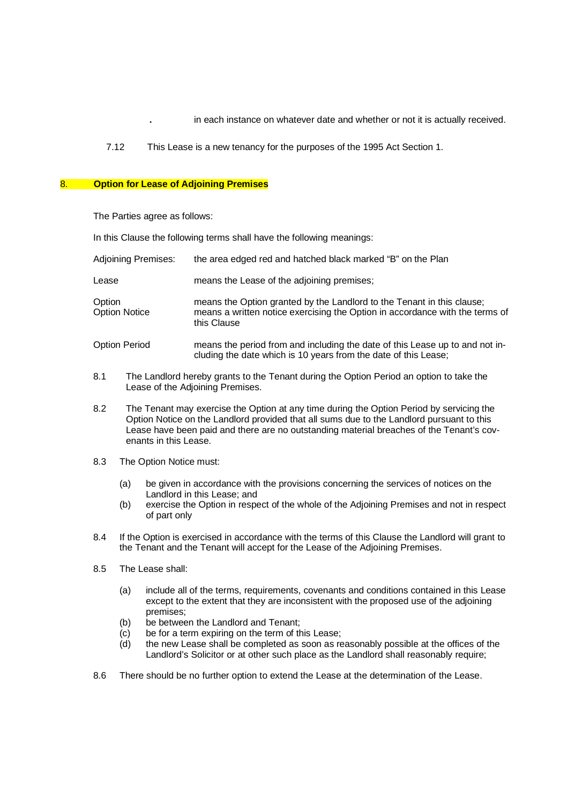- **.** in each instance on whatever date and whether or not it is actually received.
- 7.12 This Lease is a new tenancy for the purposes of the 1995 Act Section 1.

#### 8. **Option for Lease of Adjoining Premises**

The Parties agree as follows:

In this Clause the following terms shall have the following meanings:

| Adjoining Premises: | the area edged red and hatched black marked "B" on the Plan |
|---------------------|-------------------------------------------------------------|
|                     |                                                             |

Lease means the Lease of the adjoining premises;

Option means the Option granted by the Landlord to the Tenant in this clause;<br>Option Notice means a written notice exercising the Option in accordance with the term means a written notice exercising the Option in accordance with the terms of this Clause

- Option Period means the period from and including the date of this Lease up to and not including the date which is 10 years from the date of this Lease;
- 8.1 The Landlord hereby grants to the Tenant during the Option Period an option to take the Lease of the Adjoining Premises.
- 8.2 The Tenant may exercise the Option at any time during the Option Period by servicing the Option Notice on the Landlord provided that all sums due to the Landlord pursuant to this Lease have been paid and there are no outstanding material breaches of the Tenant's covenants in this Lease.
- 8.3 The Option Notice must:
	- (a) be given in accordance with the provisions concerning the services of notices on the Landlord in this Lease; and
	- (b) exercise the Option in respect of the whole of the Adjoining Premises and not in respect of part only
- 8.4 If the Option is exercised in accordance with the terms of this Clause the Landlord will grant to the Tenant and the Tenant will accept for the Lease of the Adjoining Premises.
- 8.5 The Lease shall:
	- (a) include all of the terms, requirements, covenants and conditions contained in this Lease except to the extent that they are inconsistent with the proposed use of the adjoining premises;
	- (b) be between the Landlord and Tenant;
	- (c) be for a term expiring on the term of this Lease;
	- (d) the new Lease shall be completed as soon as reasonably possible at the offices of the Landlord's Solicitor or at other such place as the Landlord shall reasonably require;
- 8.6 There should be no further option to extend the Lease at the determination of the Lease.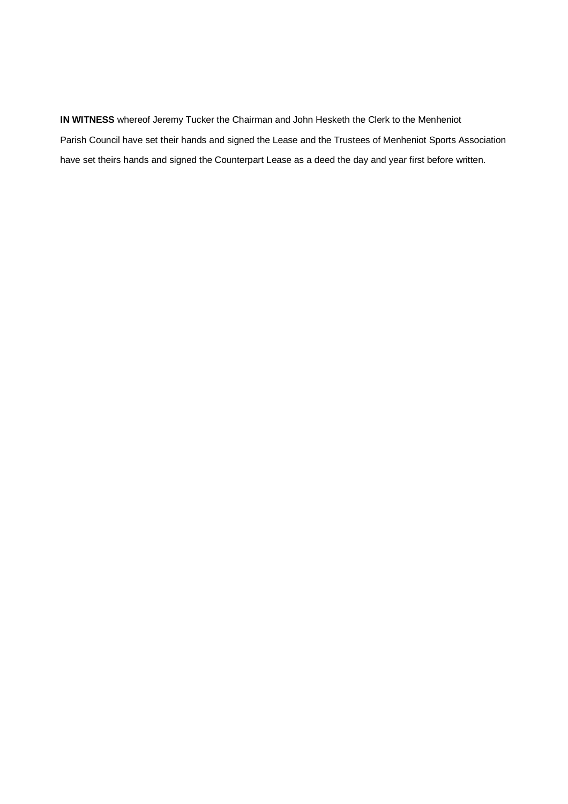**IN WITNESS** whereof Jeremy Tucker the Chairman and John Hesketh the Clerk to the Menheniot Parish Council have set their hands and signed the Lease and the Trustees of Menheniot Sports Association have set theirs hands and signed the Counterpart Lease as a deed the day and year first before written.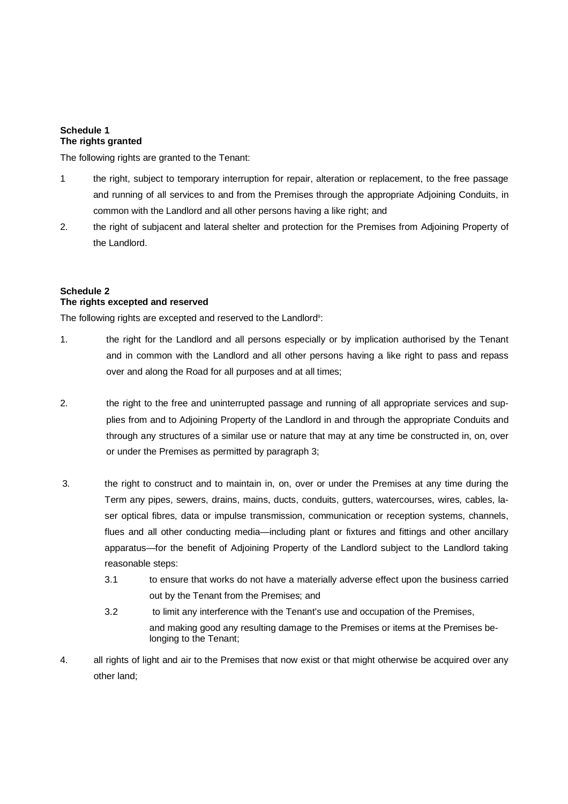#### **Schedule 1 The rights granted**

The following rights are granted to the Tenant:

- 1 the right, subject to temporary interruption for repair, alteration or replacement, to the free passage and running of all services to and from the Premises through the appropriate Adjoining Conduits, in common with the Landlord and all other persons having a like right; and
- 2. the right of subjacent and lateral shelter and protection for the Premises from Adjoining Property of the Landlord.

# **Schedule 2 The rights excepted and reserved**

The following rights are excepted and reserved to the Landlord<sup>9</sup>:

- 1. the right for the Landlord and all persons especially or by implication authorised by the Tenant and in common with the Landlord and all other persons having a like right to pass and repass over and along the Road for all purposes and at all times;
- 2. the right to the free and uninterrupted passage and running of all appropriate services and supplies from and to Adjoining Property of the Landlord in and through the appropriate Conduits and through any structures of a similar use or nature that may at any time be constructed in, on, over or under the Premises as permitted by paragraph 3;
- 3. the right to construct and to maintain in, on, over or under the Premises at any time during the Term any pipes, sewers, drains, mains, ducts, conduits, gutters, watercourses, wires, cables, laser optical fibres, data or impulse transmission, communication or reception systems, channels, flues and all other conducting media—including plant or fixtures and fittings and other ancillary apparatus—for the benefit of Adjoining Property of the Landlord subject to the Landlord taking reasonable steps:
	- 3.1 to ensure that works do not have a materially adverse effect upon the business carried out by the Tenant from the Premises; and
	- 3.2 to limit any interference with the Tenant's use and occupation of the Premises, and making good any resulting damage to the Premises or items at the Premises belonging to the Tenant;
- 4. all rights of light and air to the Premises that now exist or that might otherwise be acquired over any other land;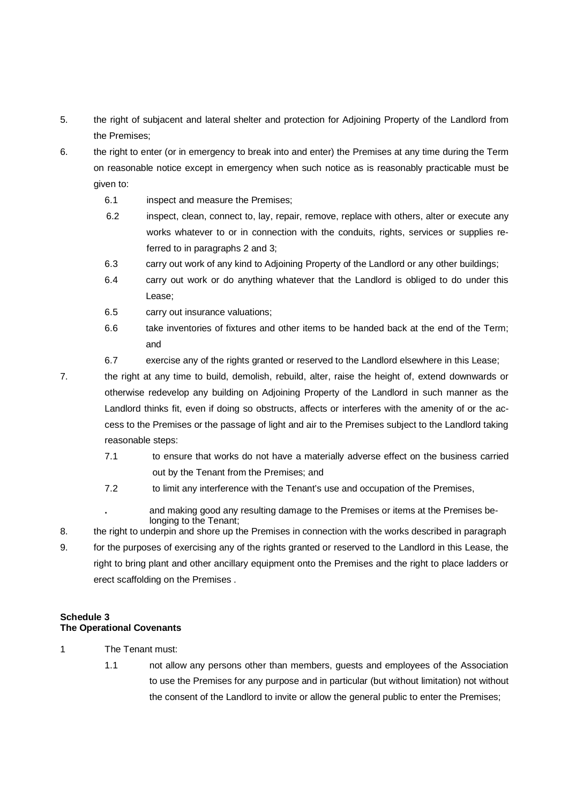- 5. the right of subjacent and lateral shelter and protection for Adjoining Property of the Landlord from the Premises;
- 6. the right to enter (or in emergency to break into and enter) the Premises at any time during the Term on reasonable notice except in emergency when such notice as is reasonably practicable must be given to:
	- 6.1 inspect and measure the Premises;
	- 6.2 inspect, clean, connect to, lay, repair, remove, replace with others, alter or execute any works whatever to or in connection with the conduits, rights, services or supplies referred to in paragraphs 2 and 3;
	- 6.3 carry out work of any kind to Adjoining Property of the Landlord or any other buildings;
	- 6.4 carry out work or do anything whatever that the Landlord is obliged to do under this Lease;
	- 6.5 carry out insurance valuations;
	- 6.6 take inventories of fixtures and other items to be handed back at the end of the Term; and
	- 6.7 exercise any of the rights granted or reserved to the Landlord elsewhere in this Lease;
- 

7. the right at any time to build, demolish, rebuild, alter, raise the height of, extend downwards or otherwise redevelop any building on Adjoining Property of the Landlord in such manner as the Landlord thinks fit, even if doing so obstructs, affects or interferes with the amenity of or the access to the Premises or the passage of light and air to the Premises subject to the Landlord taking reasonable steps:

- 7.1 to ensure that works do not have a materially adverse effect on the business carried out by the Tenant from the Premises; and
- 7.2 to limit any interference with the Tenant's use and occupation of the Premises,
	- **.** and making good any resulting damage to the Premises or items at the Premises belonging to the Tenant;
- 8. the right to underpin and shore up the Premises in connection with the works described in paragraph
- 9. for the purposes of exercising any of the rights granted or reserved to the Landlord in this Lease, the right to bring plant and other ancillary equipment onto the Premises and the right to place ladders or erect scaffolding on the Premises .

### **Schedule 3 The Operational Covenants**

- 1 The Tenant must:
	- 1.1 not allow any persons other than members, guests and employees of the Association to use the Premises for any purpose and in particular (but without limitation) not without the consent of the Landlord to invite or allow the general public to enter the Premises;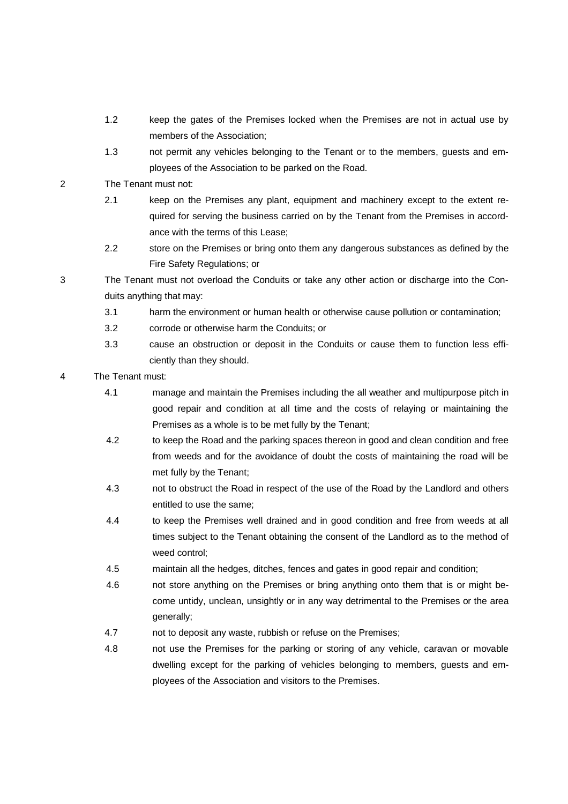- 1.2 keep the gates of the Premises locked when the Premises are not in actual use by members of the Association;
- 1.3 not permit any vehicles belonging to the Tenant or to the members, guests and employees of the Association to be parked on the Road.
- 2 The Tenant must not:
	- 2.1 keep on the Premises any plant, equipment and machinery except to the extent required for serving the business carried on by the Tenant from the Premises in accordance with the terms of this Lease;
	- 2.2 store on the Premises or bring onto them any dangerous substances as defined by the Fire Safety Regulations; or
- 3 The Tenant must not overload the Conduits or take any other action or discharge into the Conduits anything that may:
	- 3.1 harm the environment or human health or otherwise cause pollution or contamination;
	- 3.2 corrode or otherwise harm the Conduits; or
	- 3.3 cause an obstruction or deposit in the Conduits or cause them to function less efficiently than they should.

### 4 The Tenant must:

- 4.1 manage and maintain the Premises including the all weather and multipurpose pitch in good repair and condition at all time and the costs of relaying or maintaining the Premises as a whole is to be met fully by the Tenant;
- 4.2 to keep the Road and the parking spaces thereon in good and clean condition and free from weeds and for the avoidance of doubt the costs of maintaining the road will be met fully by the Tenant;
- 4.3 not to obstruct the Road in respect of the use of the Road by the Landlord and others entitled to use the same;
- 4.4 to keep the Premises well drained and in good condition and free from weeds at all times subject to the Tenant obtaining the consent of the Landlord as to the method of weed control;
- 4.5 maintain all the hedges, ditches, fences and gates in good repair and condition;
- 4.6 not store anything on the Premises or bring anything onto them that is or might become untidy, unclean, unsightly or in any way detrimental to the Premises or the area generally;
- 4.7 not to deposit any waste, rubbish or refuse on the Premises;
- 4.8 not use the Premises for the parking or storing of any vehicle, caravan or movable dwelling except for the parking of vehicles belonging to members, guests and employees of the Association and visitors to the Premises.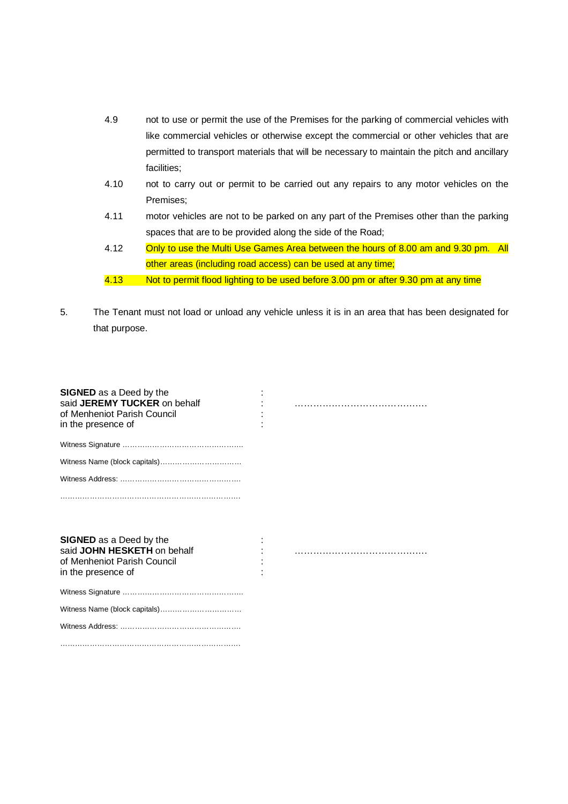- 4.9 not to use or permit the use of the Premises for the parking of commercial vehicles with like commercial vehicles or otherwise except the commercial or other vehicles that are permitted to transport materials that will be necessary to maintain the pitch and ancillary facilities;
- 4.10 not to carry out or permit to be carried out any repairs to any motor vehicles on the Premises;
- 4.11 motor vehicles are not to be parked on any part of the Premises other than the parking spaces that are to be provided along the side of the Road;
- 4.12 Only to use the Multi Use Games Area between the hours of 8.00 am and 9.30 pm. All other areas (including road access) can be used at any time;
- 4.13 Not to permit flood lighting to be used before 3.00 pm or after 9.30 pm at any time
- 5. The Tenant must not load or unload any vehicle unless it is in an area that has been designated for that purpose.

| <b>SIGNED</b> as a Deed by the<br>said JEREMY TUCKER on behalf<br>of Menheniot Parish Council<br>in the presence of |  |
|---------------------------------------------------------------------------------------------------------------------|--|
|                                                                                                                     |  |
|                                                                                                                     |  |
|                                                                                                                     |  |
|                                                                                                                     |  |
| <b>SIGNED</b> as a Deed by the<br>said JOHN HESKETH on behalf<br>of Menheniot Parish Council<br>in the presence of  |  |
|                                                                                                                     |  |
|                                                                                                                     |  |
|                                                                                                                     |  |
|                                                                                                                     |  |